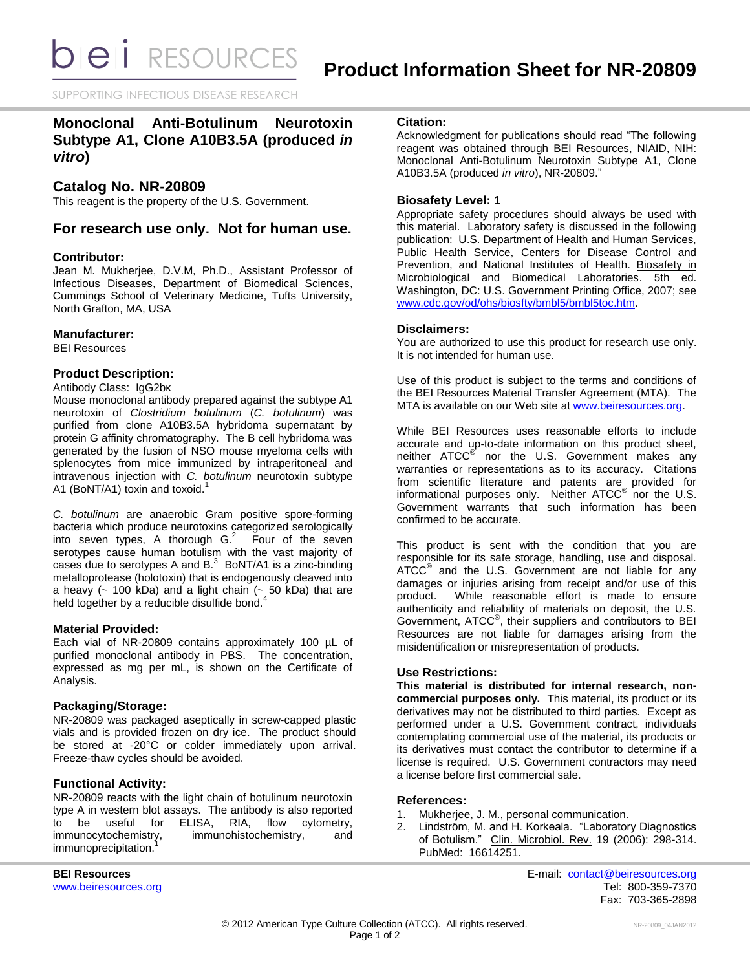SUPPORTING INFECTIOUS DISEASE RESEARCH

# **Monoclonal Anti-Botulinum Neurotoxin Subtype A1, Clone A10B3.5A (produced** *in vitro***)**

# **Catalog No. NR-20809**

This reagent is the property of the U.S. Government.

# **For research use only. Not for human use.**

### **Contributor:**

Jean M. Mukherjee, D.V.M, Ph.D., Assistant Professor of Infectious Diseases, Department of Biomedical Sciences, Cummings School of Veterinary Medicine, Tufts University, North Grafton, MA, USA

### **Manufacturer:**

BEI Resources

### **Product Description:**

Antibody Class: IgG2bκ

Mouse monoclonal antibody prepared against the subtype A1 neurotoxin of *Clostridium botulinum* (*C. botulinum*) was purified from clone A10B3.5A hybridoma supernatant by protein G affinity chromatography. The B cell hybridoma was generated by the fusion of NSO mouse myeloma cells with splenocytes from mice immunized by intraperitoneal and intravenous injection with *C. botulinum* neurotoxin subtype A1 (BoNT/A1) toxin and toxoid.<sup>1</sup>

*C. botulinum* are anaerobic Gram positive spore-forming bacteria which produce neurotoxins categorized serologically into seven types, A thorough  $G<sup>2</sup>$  Four of the seven serotypes cause human botulism with the vast majority of cases due to serotypes A and  $B<sup>3</sup>$  BoNT/A1 is a zinc-binding metalloprotease (holotoxin) that is endogenously cleaved into a heavy ( $\sim$  100 kDa) and a light chain ( $\sim$  50 kDa) that are held together by a reducible disulfide bond.<sup>4</sup>

## **Material Provided:**

Each vial of NR-20809 contains approximately 100 µL of purified monoclonal antibody in PBS. The concentration, expressed as mg per mL, is shown on the Certificate of Analysis.

# **Packaging/Storage:**

NR-20809 was packaged aseptically in screw-capped plastic vials and is provided frozen on dry ice. The product should be stored at -20°C or colder immediately upon arrival. Freeze-thaw cycles should be avoided.

## **Functional Activity:**

NR-20809 reacts with the light chain of botulinum neurotoxin type A in western blot assays. The antibody is also reported<br>to be useful for ELISA, RIA, flow cytometry, to be useful for ELISA, RIA, flow cytometry,<br>immunocytochemistry, immunohistochemistry, and immunohistochemistry, and immunoprecipitation.

### **Citation:**

Acknowledgment for publications should read "The following reagent was obtained through BEI Resources, NIAID, NIH: Monoclonal Anti-Botulinum Neurotoxin Subtype A1, Clone A10B3.5A (produced *in vitro*), NR-20809."

### **Biosafety Level: 1**

Appropriate safety procedures should always be used with this material. Laboratory safety is discussed in the following publication: U.S. Department of Health and Human Services, Public Health Service, Centers for Disease Control and Prevention, and National Institutes of Health. Biosafety in Microbiological and Biomedical Laboratories. 5th ed. Washington, DC: U.S. Government Printing Office, 2007; see [www.cdc.gov/od/ohs/biosfty/bmbl5/bmbl5toc.htm.](http://www.cdc.gov/od/ohs/biosfty/bmbl5/bmbl5toc.htm)

### **Disclaimers:**

You are authorized to use this product for research use only. It is not intended for human use.

Use of this product is subject to the terms and conditions of the BEI Resources Material Transfer Agreement (MTA). The MTA is available on our Web site at [www.beiresources.org.](http://www.beiresources.org/)

While BEI Resources uses reasonable efforts to include accurate and up-to-date information on this product sheet, neither ATCC<sup>®</sup> nor the U.S. Government makes any warranties or representations as to its accuracy. Citations from scientific literature and patents are provided for informational purposes only. Neither  $ATCC^{\circledast}$  nor the U.S. Government warrants that such information has been confirmed to be accurate.

This product is sent with the condition that you are responsible for its safe storage, handling, use and disposal. ATCC<sup>®</sup> and the U.S. Government are not liable for any damages or injuries arising from receipt and/or use of this product. While reasonable effort is made to ensure authenticity and reliability of materials on deposit, the U.S. Government, ATCC® , their suppliers and contributors to BEI Resources are not liable for damages arising from the misidentification or misrepresentation of products.

### **Use Restrictions:**

**This material is distributed for internal research, noncommercial purposes only.** This material, its product or its derivatives may not be distributed to third parties. Except as performed under a U.S. Government contract, individuals contemplating commercial use of the material, its products or its derivatives must contact the contributor to determine if a license is required. U.S. Government contractors may need a license before first commercial sale.

### **References:**

- 1. Mukherjee, J. M., personal communication.
- 2. Lindström, M. and H. Korkeala. "Laboratory Diagnostics of Botulism." Clin. Microbiol. Rev. 19 (2006): 298-314. PubMed: 16614251.